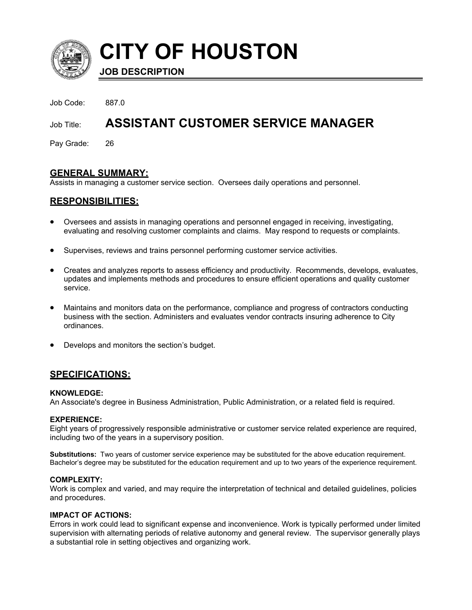

**CITY OF HOUSTON**

**JOB DESCRIPTION**

Job Code: 887.0

# Job Title: **ASSISTANT CUSTOMER SERVICE MANAGER**

Pay Grade: 26

# **GENERAL SUMMARY:**

Assists in managing a customer service section. Oversees daily operations and personnel.

# **RESPONSIBILITIES:**

- Oversees and assists in managing operations and personnel engaged in receiving, investigating, evaluating and resolving customer complaints and claims. May respond to requests or complaints.
- Supervises, reviews and trains personnel performing customer service activities.
- Creates and analyzes reports to assess efficiency and productivity. Recommends, develops, evaluates, updates and implements methods and procedures to ensure efficient operations and quality customer service.
- Maintains and monitors data on the performance, compliance and progress of contractors conducting business with the section. Administers and evaluates vendor contracts insuring adherence to City ordinances.
- Develops and monitors the section's budget.

## **SPECIFICATIONS:**

#### **KNOWLEDGE:**

An Associate's degree in Business Administration, Public Administration, or a related field is required.

#### **EXPERIENCE:**

Eight years of progressively responsible administrative or customer service related experience are required, including two of the years in a supervisory position.

**Substitutions:** Two years of customer service experience may be substituted for the above education requirement. Bachelor's degree may be substituted for the education requirement and up to two years of the experience requirement.

#### **COMPLEXITY:**

Work is complex and varied, and may require the interpretation of technical and detailed guidelines, policies and procedures.

#### **IMPACT OF ACTIONS:**

Errors in work could lead to significant expense and inconvenience. Work is typically performed under limited supervision with alternating periods of relative autonomy and general review. The supervisor generally plays a substantial role in setting objectives and organizing work.